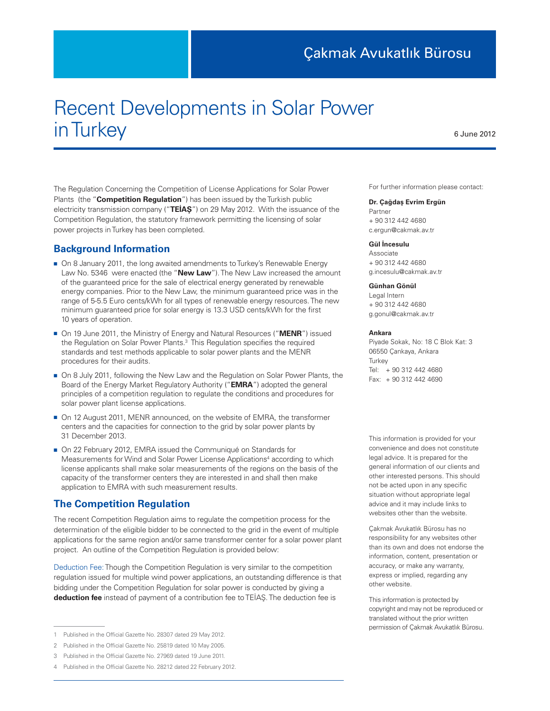# Recent Developments in Solar Power in Turkey

The Regulation Concerning the Competition of License Applications for Solar Power Plants (the "**Competition Regulation**") has been issued by the Turkish public electricity transmission company ("**TEİAŞ**") on 29 May 2012. With the issuance of the Competition Regulation, the statutory framework permitting the licensing of solar power projects in Turkey has been completed.

### **Background Information**

- On 8 January 2011, the long awaited amendments to Turkey's Renewable Energy Law No. 5346 were enacted (the "**New Law**"). The New Law increased the amount of the guaranteed price for the sale of electrical energy generated by renewable energy companies. Prior to the New Law, the minimum guaranteed price was in the range of 5-5.5 Euro cents/kWh for all types of renewable energy resources. The new minimum guaranteed price for solar energy is 13.3 USD cents/kWh for the first 10 years of operation.
- On 19 June 2011, the Ministry of Energy and Natural Resources ("**MENR**") issued the Regulation on Solar Power Plants.<sup>3</sup> This Regulation specifies the required standards and test methods applicable to solar power plants and the MENR procedures for their audits.
- On 8 July 2011, following the New Law and the Regulation on Solar Power Plants, the Board of the Energy Market Regulatory Authority ("**EMRA**") adopted the general principles of a competition regulation to regulate the conditions and procedures for solar power plant license applications.
- On 12 August 2011, MENR announced, on the website of EMRA, the transformer centers and the capacities for connection to the grid by solar power plants by 31 December 2013.
- On 22 February 2012, EMRA issued the Communiqué on Standards for Measurements for Wind and Solar Power License Applications<sup>4</sup> according to which license applicants shall make solar measurements of the regions on the basis of the capacity of the transformer centers they are interested in and shall then make application to EMRA with such measurement results.

# **The Competition Regulation**

The recent Competition Regulation aims to regulate the competition process for the determination of the eligible bidder to be connected to the grid in the event of multiple applications for the same region and/or same transformer center for a solar power plant project. An outline of the Competition Regulation is provided below:

Deduction Fee: Though the Competition Regulation is very similar to the competition regulation issued for multiple wind power applications, an outstanding difference is that bidding under the Competition Regulation for solar power is conducted by giving a **deduction fee** instead of payment of a contribution fee to TEİAŞ. The deduction fee is

For further information please contact:

6 June 2012

#### **Dr. Çağdaş Evrim Ergün**

Partner + 90 312 442 4680 c.ergun@cakmak.av.tr

#### **Gül İncesulu**

Associate + 90 312 442 4680 g.incesulu@cakmak.av.tr

#### **Günhan Gönül**

Legal Intern + 90 312 442 4680 g.gonul@cakmak.av.tr

#### **Ankara**

Piyade Sokak, No: 18 C Blok Kat: 3 06550 Çankaya, Ankara **Turkey** Tel: + 90 312 442 4680 Fax: + 90 312 442 4690

This information is provided for your convenience and does not constitute legal advice. It is prepared for the general information of our clients and other interested persons. This should not be acted upon in any specific situation without appropriate legal advice and it may include links to websites other than the website.

Çakmak Avukatlık Bürosu has no responsibility for any websites other than its own and does not endorse the information, content, presentation or accuracy, or make any warranty, express or implied, regarding any other website.

This information is protected by copyright and may not be reproduced or translated without the prior written permission of Çakmak Avukatlık Bürosu.

<sup>1</sup> Published in the Official Gazette No. 28307 dated 29 May 2012.

<sup>2</sup> Published in the Official Gazette No. 25819 dated 10 May 2005.

<sup>3</sup> Published in the Official Gazette No. 27969 dated 19 June 2011.

<sup>4</sup> Published in the Official Gazette No. 28212 dated 22 February 2012.